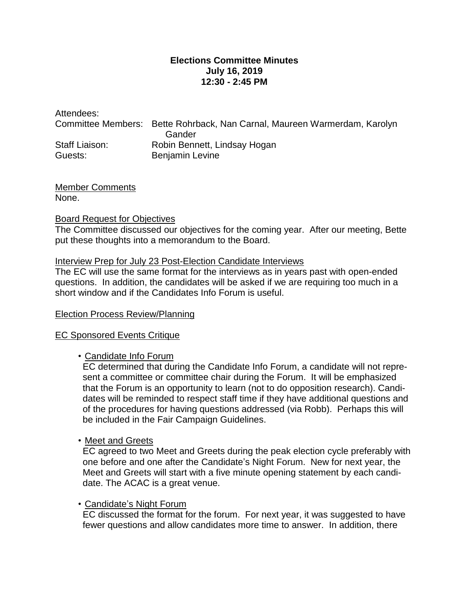## **Elections Committee Minutes July 16, 2019 12:30 - 2:45 PM**

| Attendees:     |                                                                           |
|----------------|---------------------------------------------------------------------------|
|                | Committee Members: Bette Rohrback, Nan Carnal, Maureen Warmerdam, Karolyn |
|                | Gander                                                                    |
| Staff Liaison: | Robin Bennett, Lindsay Hogan                                              |
| Guests:        | <b>Benjamin Levine</b>                                                    |
|                |                                                                           |

Member Comments None.

#### Board Request for Objectives

The Committee discussed our objectives for the coming year. After our meeting, Bette put these thoughts into a memorandum to the Board.

#### Interview Prep for July 23 Post-Election Candidate Interviews

The EC will use the same format for the interviews as in years past with open-ended questions. In addition, the candidates will be asked if we are requiring too much in a short window and if the Candidates Info Forum is useful.

## Election Process Review/Planning

#### EC Sponsored Events Critique

## • Candidate Info Forum

EC determined that during the Candidate Info Forum, a candidate will not represent a committee or committee chair during the Forum. It will be emphasized that the Forum is an opportunity to learn (not to do opposition research). Candidates will be reminded to respect staff time if they have additional questions and of the procedures for having questions addressed (via Robb). Perhaps this will be included in the Fair Campaign Guidelines.

## • Meet and Greets

EC agreed to two Meet and Greets during the peak election cycle preferably with one before and one after the Candidate's Night Forum. New for next year, the Meet and Greets will start with a five minute opening statement by each candidate. The ACAC is a great venue.

## • Candidate's Night Forum

EC discussed the format for the forum. For next year, it was suggested to have fewer questions and allow candidates more time to answer. In addition, there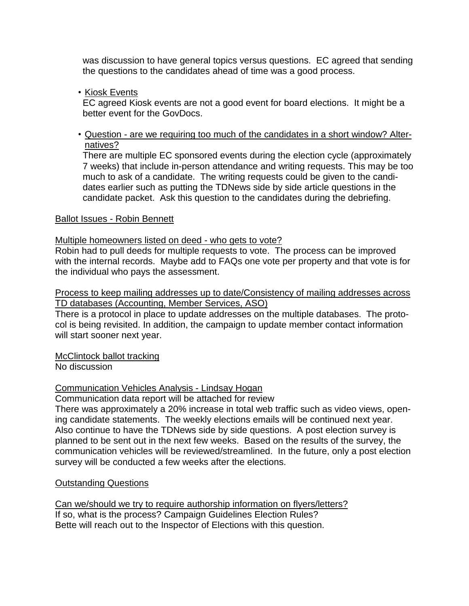was discussion to have general topics versus questions. EC agreed that sending the questions to the candidates ahead of time was a good process.

• Kiosk Events

EC agreed Kiosk events are not a good event for board elections. It might be a better event for the GovDocs.

#### • Question - are we requiring too much of the candidates in a short window? Alternatives?

There are multiple EC sponsored events during the election cycle (approximately 7 weeks) that include in-person attendance and writing requests. This may be too much to ask of a candidate. The writing requests could be given to the candidates earlier such as putting the TDNews side by side article questions in the candidate packet. Ask this question to the candidates during the debriefing.

#### Ballot Issues - Robin Bennett

Multiple homeowners listed on deed - who gets to vote?

Robin had to pull deeds for multiple requests to vote. The process can be improved with the internal records. Maybe add to FAQs one vote per property and that vote is for the individual who pays the assessment.

Process to keep mailing addresses up to date/Consistency of mailing addresses across TD databases (Accounting, Member Services, ASO)

There is a protocol in place to update addresses on the multiple databases. The protocol is being revisited. In addition, the campaign to update member contact information will start sooner next year.

McClintock ballot tracking

No discussion

Communication Vehicles Analysis - Lindsay Hogan

Communication data report will be attached for review

There was approximately a 20% increase in total web traffic such as video views, opening candidate statements. The weekly elections emails will be continued next year. Also continue to have the TDNews side by side questions. A post election survey is planned to be sent out in the next few weeks. Based on the results of the survey, the communication vehicles will be reviewed/streamlined. In the future, only a post election survey will be conducted a few weeks after the elections.

## **Outstanding Questions**

Can we/should we try to require authorship information on flyers/letters? If so, what is the process? Campaign Guidelines Election Rules? Bette will reach out to the Inspector of Elections with this question.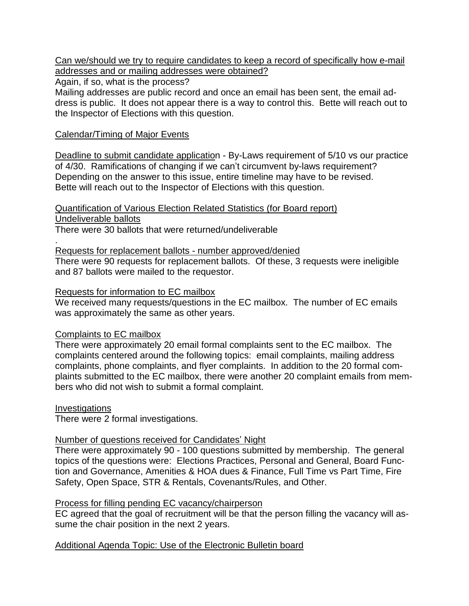Can we/should we try to require candidates to keep a record of specifically how e-mail addresses and or mailing addresses were obtained?

Again, if so, what is the process?

Mailing addresses are public record and once an email has been sent, the email address is public. It does not appear there is a way to control this. Bette will reach out to the Inspector of Elections with this question.

## Calendar/Timing of Major Events

Deadline to submit candidate application - By-Laws requirement of 5/10 vs our practice of 4/30. Ramifications of changing if we can't circumvent by-laws requirement? Depending on the answer to this issue, entire timeline may have to be revised. Bette will reach out to the Inspector of Elections with this question.

Quantification of Various Election Related Statistics (for Board report) Undeliverable ballots

There were 30 ballots that were returned/undeliverable

. Requests for replacement ballots - number approved/denied

There were 90 requests for replacement ballots. Of these, 3 requests were ineligible and 87 ballots were mailed to the requestor.

## Requests for information to EC mailbox

We received many requests/questions in the EC mailbox. The number of EC emails was approximately the same as other years.

# Complaints to EC mailbox

There were approximately 20 email formal complaints sent to the EC mailbox. The complaints centered around the following topics: email complaints, mailing address complaints, phone complaints, and flyer complaints. In addition to the 20 formal complaints submitted to the EC mailbox, there were another 20 complaint emails from members who did not wish to submit a formal complaint.

**Investigations** 

There were 2 formal investigations.

# Number of questions received for Candidates' Night

There were approximately 90 - 100 questions submitted by membership. The general topics of the questions were: Elections Practices, Personal and General, Board Function and Governance, Amenities & HOA dues & Finance, Full Time vs Part Time, Fire Safety, Open Space, STR & Rentals, Covenants/Rules, and Other.

## Process for filling pending EC vacancy/chairperson

EC agreed that the goal of recruitment will be that the person filling the vacancy will assume the chair position in the next 2 years.

# Additional Agenda Topic: Use of the Electronic Bulletin board